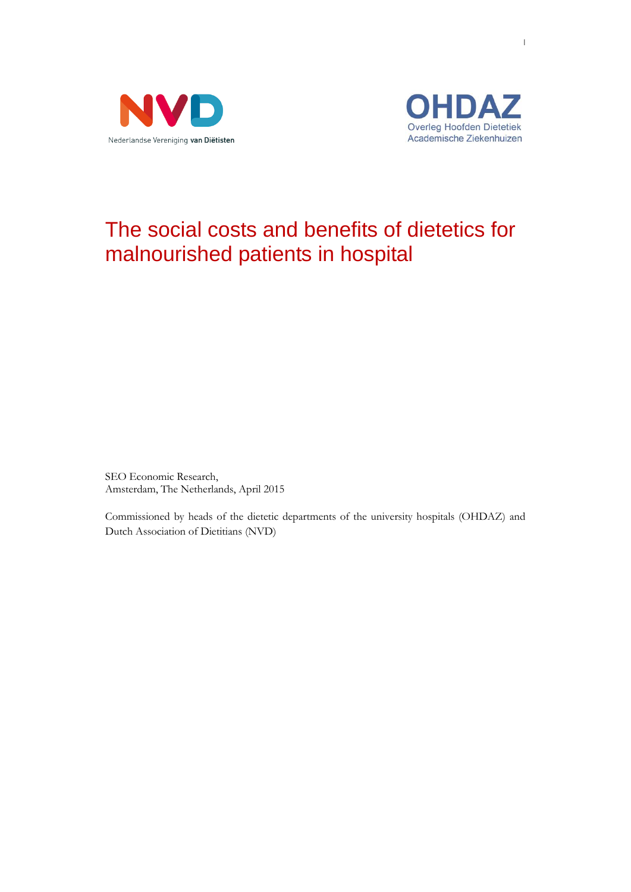



# The social costs and benefits of dietetics for malnourished patients in hospital

SEO Economic Research, Amsterdam, The Netherlands, April 2015

Commissioned by heads of the dietetic departments of the university hospitals (OHDAZ) and Dutch Association of Dietitians (NVD)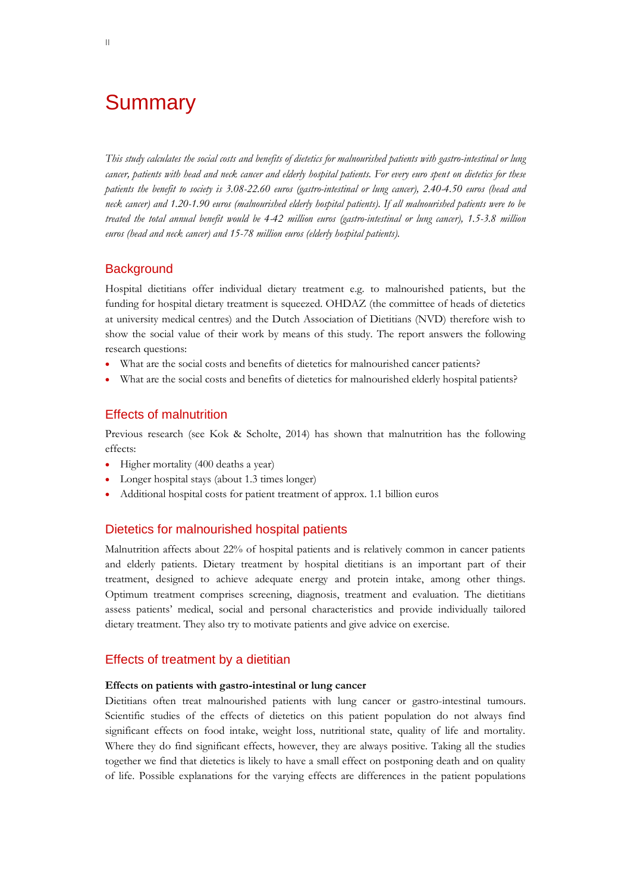# **Summary**

*This study calculates the social costs and benefits of dietetics for malnourished patients with gastro-intestinal or lung cancer, patients with head and neck cancer and elderly hospital patients. For every euro spent on dietetics for these patients the benefit to society is 3.08-22.60 euros (gastro-intestinal or lung cancer), 2.40-4.50 euros (head and neck cancer) and 1.20-1.90 euros (malnourished elderly hospital patients). If all malnourished patients were to be treated the total annual benefit would be 4-42 million euros (gastro-intestinal or lung cancer), 1.5-3.8 million euros (head and neck cancer) and 15-78 million euros (elderly hospital patients).*

# **Background**

Hospital dietitians offer individual dietary treatment e.g. to malnourished patients, but the funding for hospital dietary treatment is squeezed. OHDAZ (the committee of heads of dietetics at university medical centres) and the Dutch Association of Dietitians (NVD) therefore wish to show the social value of their work by means of this study. The report answers the following research questions:

- What are the social costs and benefits of dietetics for malnourished cancer patients?
- What are the social costs and benefits of dietetics for malnourished elderly hospital patients?

## Effects of malnutrition

Previous research (see Kok & Scholte, 2014) has shown that malnutrition has the following effects:

- Higher mortality (400 deaths a year)
- Longer hospital stays (about 1.3 times longer)
- Additional hospital costs for patient treatment of approx. 1.1 billion euros

# Dietetics for malnourished hospital patients

Malnutrition affects about 22% of hospital patients and is relatively common in cancer patients and elderly patients. Dietary treatment by hospital dietitians is an important part of their treatment, designed to achieve adequate energy and protein intake, among other things. Optimum treatment comprises screening, diagnosis, treatment and evaluation. The dietitians assess patients' medical, social and personal characteristics and provide individually tailored dietary treatment. They also try to motivate patients and give advice on exercise.

## Effects of treatment by a dietitian

### **Effects on patients with gastro-intestinal or lung cancer**

Dietitians often treat malnourished patients with lung cancer or gastro-intestinal tumours. Scientific studies of the effects of dietetics on this patient population do not always find significant effects on food intake, weight loss, nutritional state, quality of life and mortality. Where they do find significant effects, however, they are always positive. Taking all the studies together we find that dietetics is likely to have a small effect on postponing death and on quality of life. Possible explanations for the varying effects are differences in the patient populations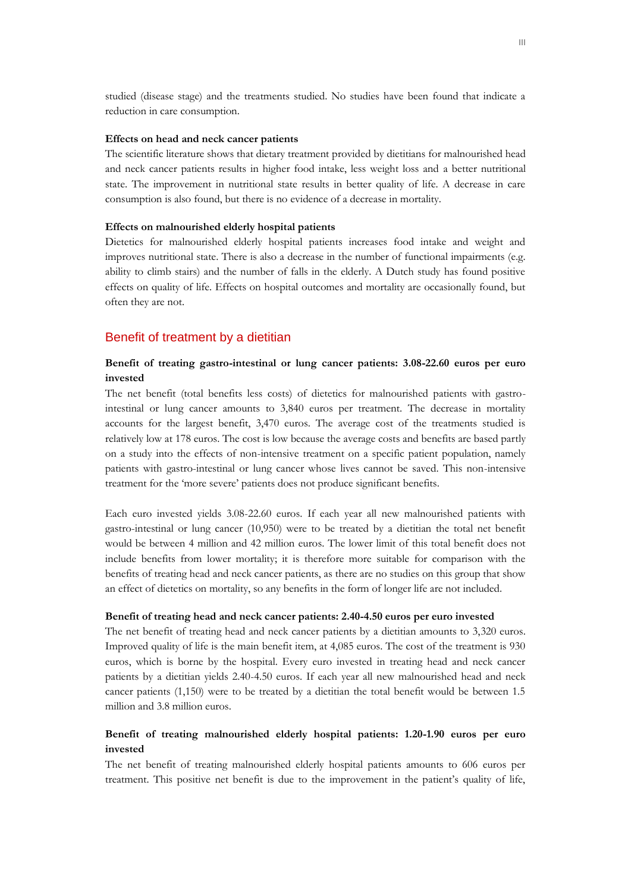studied (disease stage) and the treatments studied. No studies have been found that indicate a reduction in care consumption.

#### **Effects on head and neck cancer patients**

The scientific literature shows that dietary treatment provided by dietitians for malnourished head and neck cancer patients results in higher food intake, less weight loss and a better nutritional state. The improvement in nutritional state results in better quality of life. A decrease in care consumption is also found, but there is no evidence of a decrease in mortality.

#### **Effects on malnourished elderly hospital patients**

Dietetics for malnourished elderly hospital patients increases food intake and weight and improves nutritional state. There is also a decrease in the number of functional impairments (e.g. ability to climb stairs) and the number of falls in the elderly. A Dutch study has found positive effects on quality of life. Effects on hospital outcomes and mortality are occasionally found, but often they are not.

### Benefit of treatment by a dietitian

## **Benefit of treating gastro-intestinal or lung cancer patients: 3.08-22.60 euros per euro invested**

The net benefit (total benefits less costs) of dietetics for malnourished patients with gastrointestinal or lung cancer amounts to 3,840 euros per treatment. The decrease in mortality accounts for the largest benefit, 3,470 euros. The average cost of the treatments studied is relatively low at 178 euros. The cost is low because the average costs and benefits are based partly on a study into the effects of non-intensive treatment on a specific patient population, namely patients with gastro-intestinal or lung cancer whose lives cannot be saved. This non-intensive treatment for the 'more severe' patients does not produce significant benefits.

Each euro invested yields 3.08-22.60 euros. If each year all new malnourished patients with gastro-intestinal or lung cancer (10,950) were to be treated by a dietitian the total net benefit would be between 4 million and 42 million euros. The lower limit of this total benefit does not include benefits from lower mortality; it is therefore more suitable for comparison with the benefits of treating head and neck cancer patients, as there are no studies on this group that show an effect of dietetics on mortality, so any benefits in the form of longer life are not included.

#### **Benefit of treating head and neck cancer patients: 2.40-4.50 euros per euro invested**

The net benefit of treating head and neck cancer patients by a dietitian amounts to 3,320 euros. Improved quality of life is the main benefit item, at 4,085 euros. The cost of the treatment is 930 euros, which is borne by the hospital. Every euro invested in treating head and neck cancer patients by a dietitian yields 2.40-4.50 euros. If each year all new malnourished head and neck cancer patients (1,150) were to be treated by a dietitian the total benefit would be between 1.5 million and 3.8 million euros.

# **Benefit of treating malnourished elderly hospital patients: 1.20-1.90 euros per euro invested**

The net benefit of treating malnourished elderly hospital patients amounts to 606 euros per treatment. This positive net benefit is due to the improvement in the patient's quality of life,